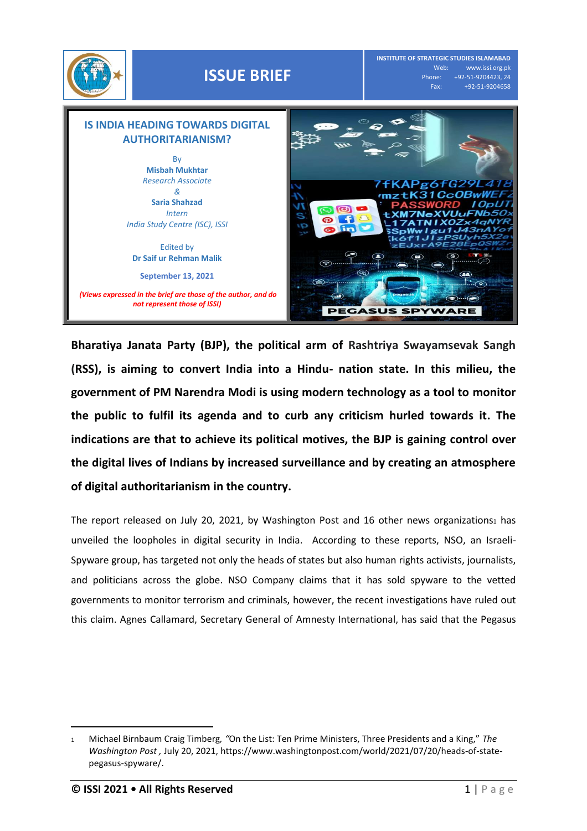

**Bharatiya Janata Party (BJP), the political arm of Rashtriya Swayamsevak Sangh (RSS), is aiming to convert India into a Hindu- nation state. In this milieu, the government of PM Narendra Modi is using modern technology as a tool to monitor the public to fulfil its agenda and to curb any criticism hurled towards it. The indications are that to achieve its political motives, the BJP is gaining control over the digital lives of Indians by increased surveillance and by creating an atmosphere of digital authoritarianism in the country.**

The report released on July 20, 2021, by Washington Post and 16 other news organizations1 has unveiled the loopholes in digital security in India. According to these reports, NSO, an Israeli-Spyware group, has targeted not only the heads of states but also human rights activists, journalists, and politicians across the globe. NSO Company claims that it has sold spyware to the vetted governments to monitor terrorism and criminals, however, the recent investigations have ruled out this claim. Agnes Callamard, Secretary General of Amnesty International, has said that the Pegasus

 $\overline{a}$ 

<sup>1</sup> Michael Birnbaum Craig Timberg*, "*On the List: Ten Prime Ministers, Three Presidents and a King," *The Washington Post ,* July 20, 2021[, https://www.washingtonpost.com/world/2021/07/20/heads-of-state](https://www.washingtonpost.com/world/2021/07/20/heads-of-state-pegasus-spyware/)[pegasus-spyware/.](https://www.washingtonpost.com/world/2021/07/20/heads-of-state-pegasus-spyware/)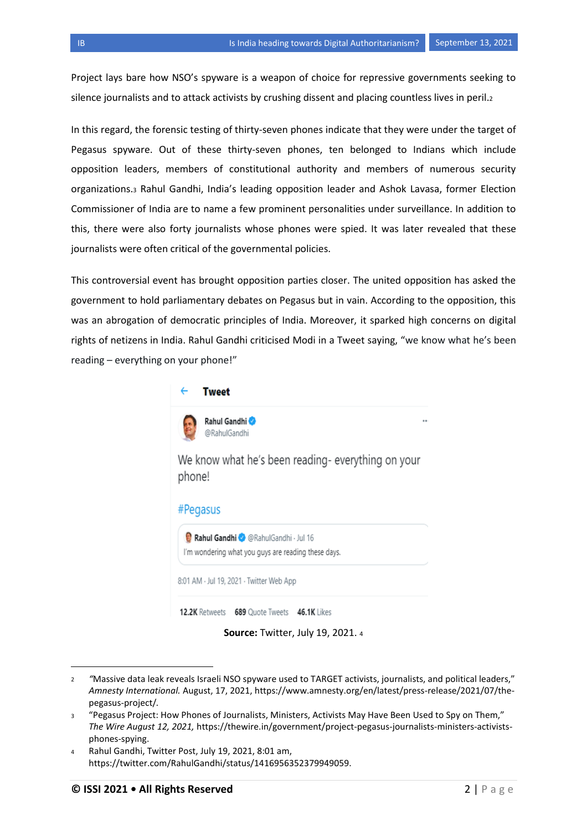Project lays bare how NSO's spyware is a weapon of choice for repressive governments seeking to silence journalists and to attack activists by crushing dissent and placing countless lives in peril.<sup>2</sup>

In this regard, the forensic testing of thirty-seven phones indicate that they were under the target of Pegasus spyware. Out of these thirty-seven phones, ten belonged to Indians which include opposition leaders, members of constitutional authority and members of numerous security organizations.<sup>3</sup> Rahul Gandhi, India's leading opposition leader and Ashok Lavasa, former Election Commissioner of India are to name a few prominent personalities under surveillance. In addition to this, there were also forty journalists whose phones were spied. It was later revealed that these journalists were often critical of the governmental policies.

This controversial event has brought opposition parties closer. The united opposition has asked the government to hold parliamentary debates on Pegasus but in vain. According to the opposition, this was an abrogation of democratic principles of India. Moreover, it sparked high concerns on digital rights of netizens in India. Rahul Gandhi criticised Modi in a Tweet saying, "we know what he's been reading – everything on your phone!"



We know what he's been reading- everything on your phone!

## #Pegasus

Rahul Gandhi <sup>O</sup> @RahulGandhi · Jul 16 I'm wondering what you guys are reading these days.

8:01 AM · Jul 19, 2021 · Twitter Web App

12.2K Retweets 689 Quote Tweets 46.1K Likes

**Source:** Twitter, July 19, 2021. <sup>4</sup>

 $\overline{a}$ 

<sup>2</sup> *"*Massive data leak reveals Israeli NSO spyware used to TARGET activists, journalists, and political leaders," *Amnesty International.* August, 17, 2021, [https://www.amnesty.org/en/latest/press-release/2021/07/the](https://www.amnesty.org/en/latest/press-release/2021/07/the-pegasus-project/)[pegasus-project/](https://www.amnesty.org/en/latest/press-release/2021/07/the-pegasus-project/)*.*

<sup>3</sup> "Pegasus Project: How Phones of Journalists, Ministers, Activists May Have Been Used to Spy on Them," *The Wire August 12, 2021,* [https://thewire.in/government/project-pegasus-journalists-ministers-activists](https://thewire.in/government/project-pegasus-journalists-ministers-activists-phones-spying)[phones-spying.](https://thewire.in/government/project-pegasus-journalists-ministers-activists-phones-spying)

<sup>4</sup> Rahul Gandhi, Twitter Post, July 19, 2021, 8:01 am, https://twitter.com/RahulGandhi/status/1416956352379949059.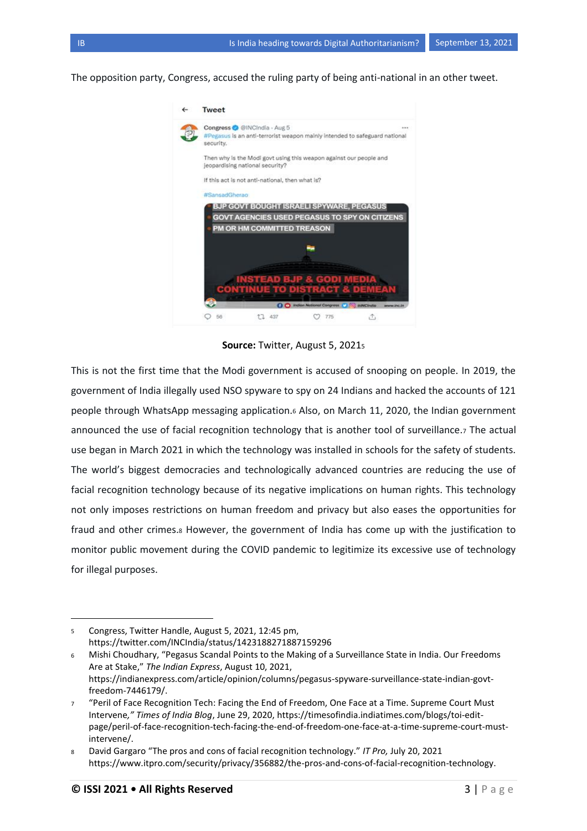The opposition party, Congress, accused the ruling party of being anti-national in an other tweet.



**Source:** Twitter, August 5, 2021<sup>5</sup>

This is not the first time that the Modi government is accused of snooping on people. In 2019, the government of India illegally used NSO spyware to spy on 24 Indians and hacked the accounts of 121 people through WhatsApp messaging application.<sup>6</sup> Also, on March 11, 2020, the Indian government announced the use of facial recognition technology that is another tool of surveillance.7 The actual use began in March 2021 in which the technology was installed in schools for the safety of students. The world's biggest democracies and technologically advanced countries are reducing the use of facial recognition technology because of its negative implications on human rights. This technology not only imposes restrictions on human freedom and privacy but also eases the opportunities for fraud and other crimes.<sup>8</sup> However, the government of India has come up with the justification to monitor public movement during the COVID pandemic to legitimize its excessive use of technology for illegal purposes.

l

<sup>5</sup> Congress, Twitter Handle, August 5, 2021, 12:45 pm, <https://twitter.com/INCIndia/status/1423188271887159296>

<sup>6</sup> Mishi Choudhary, "Pegasus Scandal Points to the Making of a Surveillance State in India. Our Freedoms Are at Stake," *The Indian Express*, August 10, 2021, [https://indianexpress.com/article/opinion/columns/pegasus-spyware-surveillance-state-indian-govt](https://indianexpress.com/article/opinion/columns/pegasus-spyware-surveillance-state-indian-govt-freedom-7446179/)[freedom-7446179/.](https://indianexpress.com/article/opinion/columns/pegasus-spyware-surveillance-state-indian-govt-freedom-7446179/)

<sup>7</sup> "Peril of Face Recognition Tech: Facing the End of Freedom, One Face at a Time. Supreme Court Must Intervene*," Times of India Blog*, June 29, 2020, [https://timesofindia.indiatimes.com/blogs/toi-edit](https://timesofindia.indiatimes.com/blogs/toi-edit-page/peril-of-face-recognition-tech-facing-the-end-of-freedom-one-face-at-a-time-supreme-court-must-intervene/)[page/peril-of-face-recognition-tech-facing-the-end-of-freedom-one-face-at-a-time-supreme-court-must](https://timesofindia.indiatimes.com/blogs/toi-edit-page/peril-of-face-recognition-tech-facing-the-end-of-freedom-one-face-at-a-time-supreme-court-must-intervene/)[intervene/.](https://timesofindia.indiatimes.com/blogs/toi-edit-page/peril-of-face-recognition-tech-facing-the-end-of-freedom-one-face-at-a-time-supreme-court-must-intervene/)

<sup>8</sup> David Gargaro "The pros and cons of facial recognition technology." *IT Pro,* July 20, 2021 [https://www.itpro.com/security/privacy/356882/the-pros-and-cons-of-facial-recognition-technology.](https://www.itpro.com/security/privacy/356882/the-pros-and-cons-of-facial-recognition-technology)